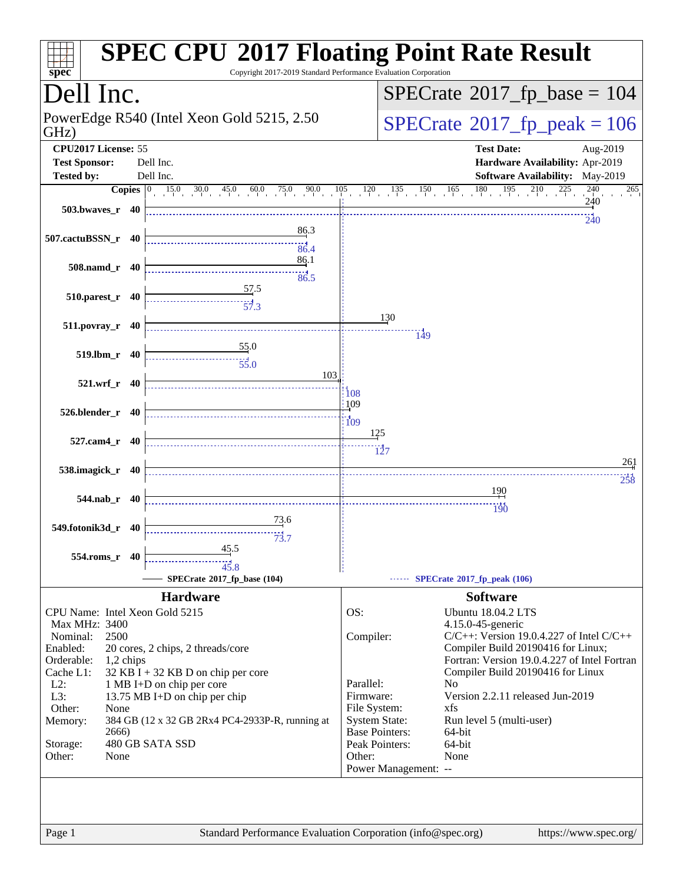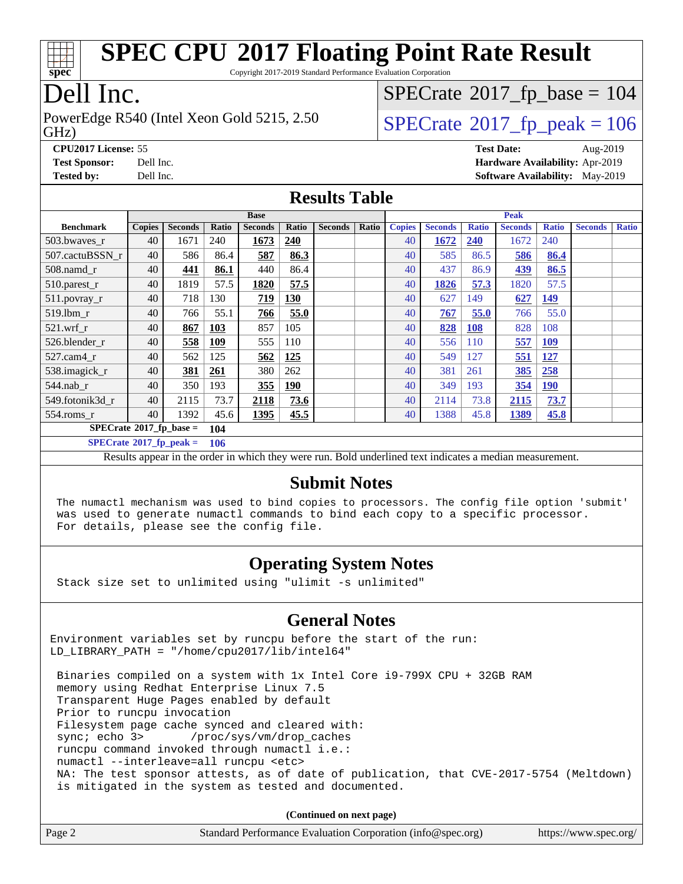

Copyright 2017-2019 Standard Performance Evaluation Corporation

# Dell Inc.

GHz) PowerEdge R540 (Intel Xeon Gold 5215, 2.50  $\vert$  [SPECrate](http://www.spec.org/auto/cpu2017/Docs/result-fields.html#SPECrate2017fppeak)®[2017\\_fp\\_peak = 1](http://www.spec.org/auto/cpu2017/Docs/result-fields.html#SPECrate2017fppeak)06

 $SPECTate$ <sup>®</sup>[2017\\_fp\\_base =](http://www.spec.org/auto/cpu2017/Docs/result-fields.html#SPECrate2017fpbase) 104

**[CPU2017 License:](http://www.spec.org/auto/cpu2017/Docs/result-fields.html#CPU2017License)** 55 **[Test Date:](http://www.spec.org/auto/cpu2017/Docs/result-fields.html#TestDate)** Aug-2019 **[Test Sponsor:](http://www.spec.org/auto/cpu2017/Docs/result-fields.html#TestSponsor)** Dell Inc. **[Hardware Availability:](http://www.spec.org/auto/cpu2017/Docs/result-fields.html#HardwareAvailability)** Apr-2019 **[Tested by:](http://www.spec.org/auto/cpu2017/Docs/result-fields.html#Testedby)** Dell Inc. **[Software Availability:](http://www.spec.org/auto/cpu2017/Docs/result-fields.html#SoftwareAvailability)** May-2019

### **[Results Table](http://www.spec.org/auto/cpu2017/Docs/result-fields.html#ResultsTable)**

|                                   | <b>Base</b>   |                |            |                |            |                |       | <b>Peak</b>   |                |              |                |              |                |              |
|-----------------------------------|---------------|----------------|------------|----------------|------------|----------------|-------|---------------|----------------|--------------|----------------|--------------|----------------|--------------|
| <b>Benchmark</b>                  | <b>Copies</b> | <b>Seconds</b> | Ratio      | <b>Seconds</b> | Ratio      | <b>Seconds</b> | Ratio | <b>Copies</b> | <b>Seconds</b> | <b>Ratio</b> | <b>Seconds</b> | <b>Ratio</b> | <b>Seconds</b> | <b>Ratio</b> |
| 503.bwayes_r                      | 40            | 1671           | 240        | 1673           | <u>240</u> |                |       | 40            | 1672           | 240          | 1672           | 240          |                |              |
| 507.cactuBSSN r                   | 40            | 586            | 86.4       | 587            | 86.3       |                |       | 40            | 585            | 86.5         | 586            | 86.4         |                |              |
| $508$ .namd $r$                   | 40            | 441            | 86.1       | 440            | 86.4       |                |       | 40            | 437            | 86.9         | 439            | 86.5         |                |              |
| 510.parest_r                      | 40            | 1819           | 57.5       | 1820           | 57.5       |                |       | 40            | 1826           | 57.3         | 1820           | 57.5         |                |              |
| 511.povray_r                      | 40            | 718            | 130        | 719            | 130        |                |       | 40            | 627            | 149          | 627            | <u>149</u>   |                |              |
| 519.lbm r                         | 40            | 766            | 55.1       | 766            | 55.0       |                |       | 40            | 767            | 55.0         | 766            | 55.0         |                |              |
| $521$ .wrf r                      | 40            | 867            | <b>103</b> | 857            | 105        |                |       | 40            | 828            | <b>108</b>   | 828            | 108          |                |              |
| 526.blender r                     | 40            | 558            | <u>109</u> | 555            | 110        |                |       | 40            | 556            | <b>110</b>   | 557            | <u>109</u>   |                |              |
| 527.cam4 r                        | 40            | 562            | 125        | 562            | 125        |                |       | 40            | 549            | 127          | 551            | <u>127</u>   |                |              |
| 538.imagick_r                     | 40            | <u>381</u>     | 261        | 380            | 262        |                |       | 40            | 381            | 261          | 385            | 258          |                |              |
| $544$ .nab_r                      | 40            | 350            | 193        | 355            | <b>190</b> |                |       | 40            | 349            | 193          | 354            | <u>190</u>   |                |              |
| 549.fotonik3d r                   | 40            | 2115           | 73.7       | 2118           | 73.6       |                |       | 40            | 2114           | 73.8         | 2115           | 73.7         |                |              |
| $554$ .roms_r                     | 40            | 1392           | 45.6       | 1395           | 45.5       |                |       | 40            | 1388           | 45.8         | <u>1389</u>    | 45.8         |                |              |
| $SPECrate*2017_fp\_base =$<br>104 |               |                |            |                |            |                |       |               |                |              |                |              |                |              |
| $SPECrate^{\circ}2017$ fp peak =  |               |                | 106        |                |            |                |       |               |                |              |                |              |                |              |

Results appear in the [order in which they were run.](http://www.spec.org/auto/cpu2017/Docs/result-fields.html#RunOrder) Bold underlined text [indicates a median measurement.](http://www.spec.org/auto/cpu2017/Docs/result-fields.html#Median)

#### **[Submit Notes](http://www.spec.org/auto/cpu2017/Docs/result-fields.html#SubmitNotes)**

 The numactl mechanism was used to bind copies to processors. The config file option 'submit' was used to generate numactl commands to bind each copy to a specific processor. For details, please see the config file.

### **[Operating System Notes](http://www.spec.org/auto/cpu2017/Docs/result-fields.html#OperatingSystemNotes)**

Stack size set to unlimited using "ulimit -s unlimited"

### **[General Notes](http://www.spec.org/auto/cpu2017/Docs/result-fields.html#GeneralNotes)**

Environment variables set by runcpu before the start of the run: LD\_LIBRARY\_PATH = "/home/cpu2017/lib/intel64"

 Binaries compiled on a system with 1x Intel Core i9-799X CPU + 32GB RAM memory using Redhat Enterprise Linux 7.5 Transparent Huge Pages enabled by default Prior to runcpu invocation Filesystem page cache synced and cleared with: sync; echo 3> /proc/sys/vm/drop\_caches runcpu command invoked through numactl i.e.: numactl --interleave=all runcpu <etc> NA: The test sponsor attests, as of date of publication, that CVE-2017-5754 (Meltdown) is mitigated in the system as tested and documented.

**(Continued on next page)**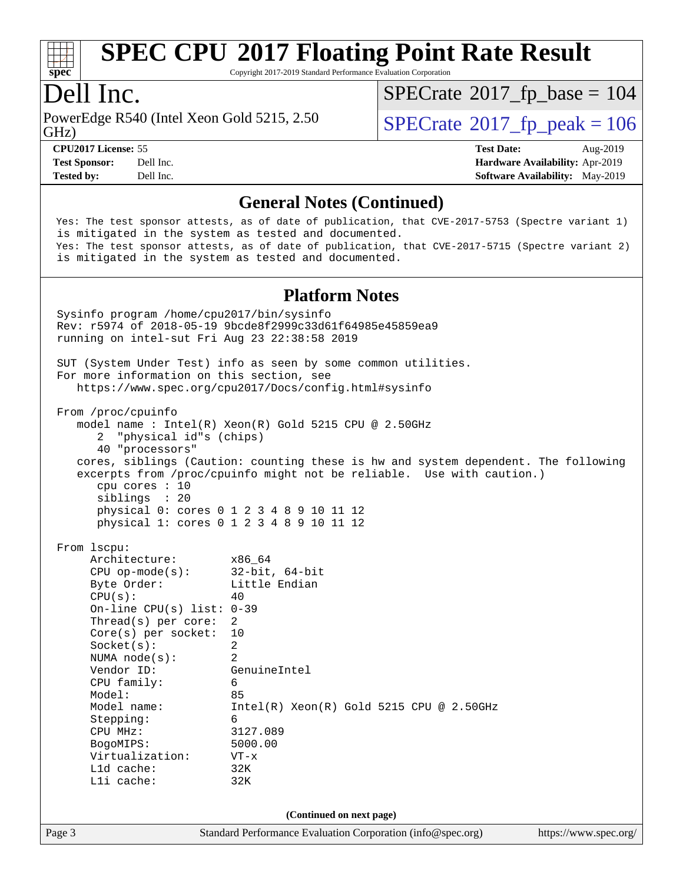

Copyright 2017-2019 Standard Performance Evaluation Corporation

## Dell Inc.

PowerEdge R540 (Intel Xeon Gold 5215, 2.50)<br>GHz)

 $SPECTate$ <sup>®</sup>[2017\\_fp\\_peak = 1](http://www.spec.org/auto/cpu2017/Docs/result-fields.html#SPECrate2017fppeak)06  $SPECrate$ <sup>®</sup>[2017\\_fp\\_base =](http://www.spec.org/auto/cpu2017/Docs/result-fields.html#SPECrate2017fpbase) 104

**[Tested by:](http://www.spec.org/auto/cpu2017/Docs/result-fields.html#Testedby)** Dell Inc. **[Software Availability:](http://www.spec.org/auto/cpu2017/Docs/result-fields.html#SoftwareAvailability)** May-2019

**[CPU2017 License:](http://www.spec.org/auto/cpu2017/Docs/result-fields.html#CPU2017License)** 55 **[Test Date:](http://www.spec.org/auto/cpu2017/Docs/result-fields.html#TestDate)** Aug-2019 **[Test Sponsor:](http://www.spec.org/auto/cpu2017/Docs/result-fields.html#TestSponsor)** Dell Inc. **[Hardware Availability:](http://www.spec.org/auto/cpu2017/Docs/result-fields.html#HardwareAvailability)** Apr-2019

#### **[General Notes \(Continued\)](http://www.spec.org/auto/cpu2017/Docs/result-fields.html#GeneralNotes)**

 Yes: The test sponsor attests, as of date of publication, that CVE-2017-5753 (Spectre variant 1) is mitigated in the system as tested and documented. Yes: The test sponsor attests, as of date of publication, that CVE-2017-5715 (Spectre variant 2) is mitigated in the system as tested and documented.

#### **[Platform Notes](http://www.spec.org/auto/cpu2017/Docs/result-fields.html#PlatformNotes)**

Page 3 Standard Performance Evaluation Corporation [\(info@spec.org\)](mailto:info@spec.org) <https://www.spec.org/> Sysinfo program /home/cpu2017/bin/sysinfo Rev: r5974 of 2018-05-19 9bcde8f2999c33d61f64985e45859ea9 running on intel-sut Fri Aug 23 22:38:58 2019 SUT (System Under Test) info as seen by some common utilities. For more information on this section, see <https://www.spec.org/cpu2017/Docs/config.html#sysinfo> From /proc/cpuinfo model name : Intel(R) Xeon(R) Gold 5215 CPU @ 2.50GHz 2 "physical id"s (chips) 40 "processors" cores, siblings (Caution: counting these is hw and system dependent. The following excerpts from /proc/cpuinfo might not be reliable. Use with caution.) cpu cores : 10 siblings : 20 physical 0: cores 0 1 2 3 4 8 9 10 11 12 physical 1: cores 0 1 2 3 4 8 9 10 11 12 From lscpu: Architecture: x86\_64 CPU op-mode(s): 32-bit, 64-bit Byte Order: Little Endian  $CPU(s):$  40 On-line CPU(s) list: 0-39 Thread(s) per core: 2 Core(s) per socket: 10 Socket(s): 2 NUMA node(s): 2 Vendor ID: GenuineIntel CPU family: 6 Model: 85 Model name: Intel(R) Xeon(R) Gold 5215 CPU @ 2.50GHz Stepping: 6 CPU MHz: 3127.089 BogoMIPS: 5000.00 Virtualization: VT-x L1d cache: 32K L1i cache: 32K **(Continued on next page)**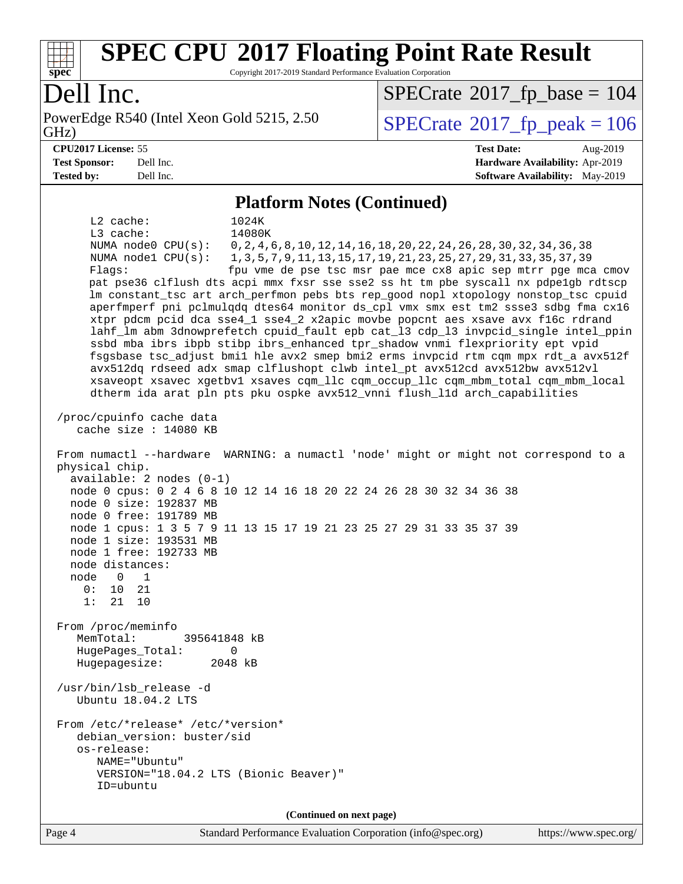

Copyright 2017-2019 Standard Performance Evaluation Corporation

## Dell Inc.

GHz) PowerEdge R540 (Intel Xeon Gold 5215, 2.50  $\vert$  [SPECrate](http://www.spec.org/auto/cpu2017/Docs/result-fields.html#SPECrate2017fppeak)®[2017\\_fp\\_peak = 1](http://www.spec.org/auto/cpu2017/Docs/result-fields.html#SPECrate2017fppeak)06

 $SPECrate$ <sup>®</sup>[2017\\_fp\\_base =](http://www.spec.org/auto/cpu2017/Docs/result-fields.html#SPECrate2017fpbase) 104

#### **[CPU2017 License:](http://www.spec.org/auto/cpu2017/Docs/result-fields.html#CPU2017License)** 55 **[Test Date:](http://www.spec.org/auto/cpu2017/Docs/result-fields.html#TestDate)** Aug-2019 **[Test Sponsor:](http://www.spec.org/auto/cpu2017/Docs/result-fields.html#TestSponsor)** Dell Inc. **[Hardware Availability:](http://www.spec.org/auto/cpu2017/Docs/result-fields.html#HardwareAvailability)** Apr-2019 **[Tested by:](http://www.spec.org/auto/cpu2017/Docs/result-fields.html#Testedby)** Dell Inc. **[Software Availability:](http://www.spec.org/auto/cpu2017/Docs/result-fields.html#SoftwareAvailability)** May-2019

#### **[Platform Notes \(Continued\)](http://www.spec.org/auto/cpu2017/Docs/result-fields.html#PlatformNotes)**

 L2 cache: 1024K L3 cache: 14080K NUMA node0 CPU(s): 0,2,4,6,8,10,12,14,16,18,20,22,24,26,28,30,32,34,36,38 NUMA node1 CPU(s): 1,3,5,7,9,11,13,15,17,19,21,23,25,27,29,31,33,35,37,39 Flags: fpu vme de pse tsc msr pae mce cx8 apic sep mtrr pge mca cmov pat pse36 clflush dts acpi mmx fxsr sse sse2 ss ht tm pbe syscall nx pdpe1gb rdtscp lm constant\_tsc art arch\_perfmon pebs bts rep\_good nopl xtopology nonstop\_tsc cpuid aperfmperf pni pclmulqdq dtes64 monitor ds\_cpl vmx smx est tm2 ssse3 sdbg fma cx16 xtpr pdcm pcid dca sse4\_1 sse4\_2 x2apic movbe popcnt aes xsave avx f16c rdrand lahf\_lm abm 3dnowprefetch cpuid\_fault epb cat\_l3 cdp\_l3 invpcid\_single intel\_ppin ssbd mba ibrs ibpb stibp ibrs\_enhanced tpr\_shadow vnmi flexpriority ept vpid fsgsbase tsc\_adjust bmi1 hle avx2 smep bmi2 erms invpcid rtm cqm mpx rdt\_a avx512f avx512dq rdseed adx smap clflushopt clwb intel\_pt avx512cd avx512bw avx512vl xsaveopt xsavec xgetbv1 xsaves cqm\_llc cqm\_occup\_llc cqm\_mbm\_total cqm\_mbm\_local dtherm ida arat pln pts pku ospke avx512\_vnni flush\_l1d arch\_capabilities /proc/cpuinfo cache data cache size : 14080 KB From numactl --hardware WARNING: a numactl 'node' might or might not correspond to a physical chip. available: 2 nodes (0-1) node 0 cpus: 0 2 4 6 8 10 12 14 16 18 20 22 24 26 28 30 32 34 36 38 node 0 size: 192837 MB node 0 free: 191789 MB node 1 cpus: 1 3 5 7 9 11 13 15 17 19 21 23 25 27 29 31 33 35 37 39 node 1 size: 193531 MB node 1 free: 192733 MB node distances: node 0 1 0: 10 21 1: 21 10 From /proc/meminfo MemTotal: 395641848 kB HugePages\_Total: 0 Hugepagesize: 2048 kB /usr/bin/lsb\_release -d Ubuntu 18.04.2 LTS From /etc/\*release\* /etc/\*version\* debian\_version: buster/sid os-release: NAME="Ubuntu" VERSION="18.04.2 LTS (Bionic Beaver)" ID=ubuntu **(Continued on next page)**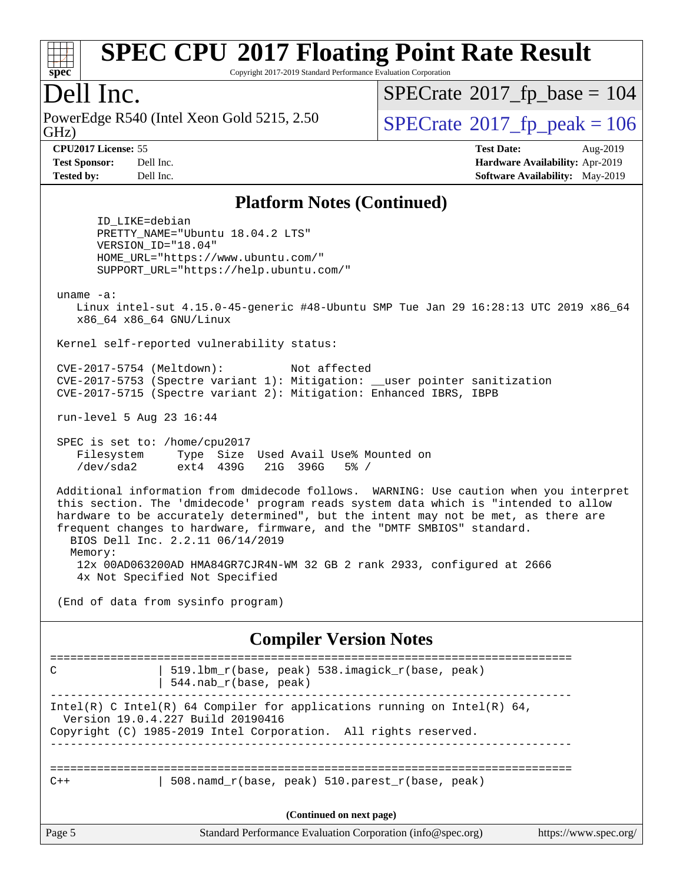

Copyright 2017-2019 Standard Performance Evaluation Corporation

## Dell Inc.

PowerEdge R540 (Intel Xeon Gold 5215, 2.50)<br>GHz)

 $SPECTate$ <sup>®</sup>[2017\\_fp\\_base =](http://www.spec.org/auto/cpu2017/Docs/result-fields.html#SPECrate2017fpbase) 104

**[Test Sponsor:](http://www.spec.org/auto/cpu2017/Docs/result-fields.html#TestSponsor)** Dell Inc. **[Hardware Availability:](http://www.spec.org/auto/cpu2017/Docs/result-fields.html#HardwareAvailability)** Apr-2019 **[Tested by:](http://www.spec.org/auto/cpu2017/Docs/result-fields.html#Testedby)** Dell Inc. **[Software Availability:](http://www.spec.org/auto/cpu2017/Docs/result-fields.html#SoftwareAvailability)** May-2019

 $SPECTate$ <sup>®</sup>[2017\\_fp\\_peak = 1](http://www.spec.org/auto/cpu2017/Docs/result-fields.html#SPECrate2017fppeak)06 **[CPU2017 License:](http://www.spec.org/auto/cpu2017/Docs/result-fields.html#CPU2017License)** 55 **[Test Date:](http://www.spec.org/auto/cpu2017/Docs/result-fields.html#TestDate)** Aug-2019

#### **[Platform Notes \(Continued\)](http://www.spec.org/auto/cpu2017/Docs/result-fields.html#PlatformNotes)**

 ID\_LIKE=debian PRETTY\_NAME="Ubuntu 18.04.2 LTS" VERSION\_ID="18.04" HOME\_URL="<https://www.ubuntu.com/"> SUPPORT\_URL="<https://help.ubuntu.com/">

uname -a:

 Linux intel-sut 4.15.0-45-generic #48-Ubuntu SMP Tue Jan 29 16:28:13 UTC 2019 x86\_64 x86\_64 x86\_64 GNU/Linux

Kernel self-reported vulnerability status:

 CVE-2017-5754 (Meltdown): Not affected CVE-2017-5753 (Spectre variant 1): Mitigation: \_\_user pointer sanitization CVE-2017-5715 (Spectre variant 2): Mitigation: Enhanced IBRS, IBPB

run-level 5 Aug 23 16:44

 SPEC is set to: /home/cpu2017 Filesystem Type Size Used Avail Use% Mounted on /dev/sda2 ext4 439G 21G 396G 5% /

 Additional information from dmidecode follows. WARNING: Use caution when you interpret this section. The 'dmidecode' program reads system data which is "intended to allow hardware to be accurately determined", but the intent may not be met, as there are frequent changes to hardware, firmware, and the "DMTF SMBIOS" standard. BIOS Dell Inc. 2.2.11 06/14/2019 Memory: 12x 00AD063200AD HMA84GR7CJR4N-WM 32 GB 2 rank 2933, configured at 2666

4x Not Specified Not Specified

(End of data from sysinfo program)

**[Compiler Version Notes](http://www.spec.org/auto/cpu2017/Docs/result-fields.html#CompilerVersionNotes)**

| C      | 519.1bm_r(base, peak) 538.imagick_r(base, peak)<br>$544$ .nab $r(base, peak)$                                                                                                    |                       |
|--------|----------------------------------------------------------------------------------------------------------------------------------------------------------------------------------|-----------------------|
|        | Intel(R) C Intel(R) 64 Compiler for applications running on Intel(R) 64,<br>Version 19.0.4.227 Build 20190416<br>Copyright (C) 1985-2019 Intel Corporation. All rights reserved. |                       |
| $C++$  | 508. namd $r(base, peak)$ 510. parest $r(base, peak)$                                                                                                                            |                       |
|        | (Continued on next page)                                                                                                                                                         |                       |
| Page 5 | Standard Performance Evaluation Corporation (info@spec.org)                                                                                                                      | https://www.spec.org/ |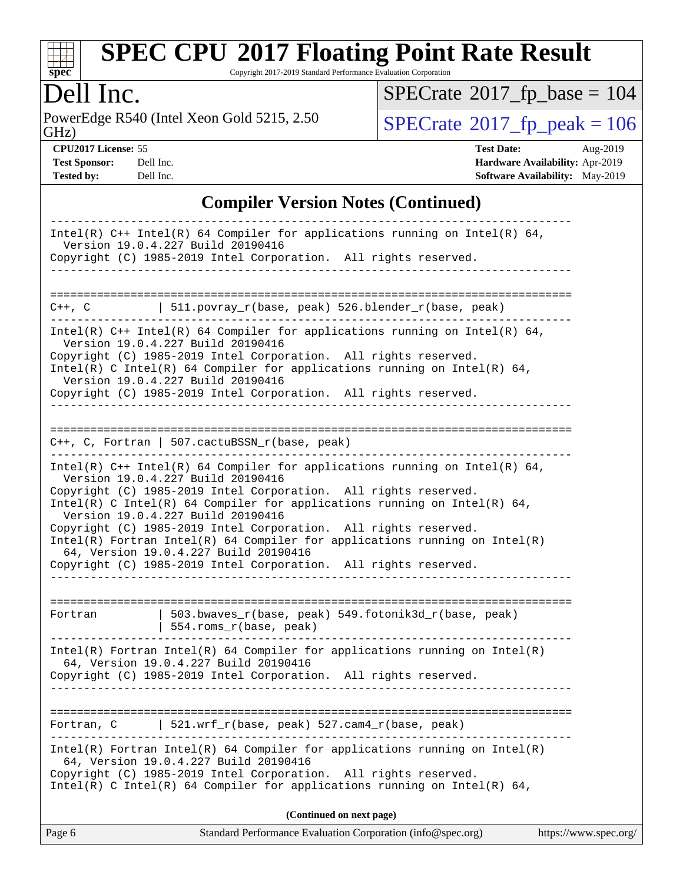

Copyright 2017-2019 Standard Performance Evaluation Corporation

Dell Inc.<br>PowerEdge R540 (Intel Xeon Gold 5215, 2.50) GHz)

 $SPECTate$ <sup>®</sup>[2017\\_fp\\_peak = 1](http://www.spec.org/auto/cpu2017/Docs/result-fields.html#SPECrate2017fppeak)06  $SPECrate$ <sup>®</sup>[2017\\_fp\\_base =](http://www.spec.org/auto/cpu2017/Docs/result-fields.html#SPECrate2017fpbase) 104

**[Test Sponsor:](http://www.spec.org/auto/cpu2017/Docs/result-fields.html#TestSponsor)** Dell Inc. **[Hardware Availability:](http://www.spec.org/auto/cpu2017/Docs/result-fields.html#HardwareAvailability)** Apr-2019 **[Tested by:](http://www.spec.org/auto/cpu2017/Docs/result-fields.html#Testedby)** Dell Inc. Dell Inc. **[Software Availability:](http://www.spec.org/auto/cpu2017/Docs/result-fields.html#SoftwareAvailability)** May-2019

**[CPU2017 License:](http://www.spec.org/auto/cpu2017/Docs/result-fields.html#CPU2017License)** 55 **[Test Date:](http://www.spec.org/auto/cpu2017/Docs/result-fields.html#TestDate)** Aug-2019

### **[Compiler Version Notes \(Continued\)](http://www.spec.org/auto/cpu2017/Docs/result-fields.html#CompilerVersionNotes)**

| Standard Performance Evaluation Corporation (info@spec.org)<br>https://www.spec.org/<br>Page 6                                                                                                                                                                                                                                                                                                                                                                                                                                                                     |
|--------------------------------------------------------------------------------------------------------------------------------------------------------------------------------------------------------------------------------------------------------------------------------------------------------------------------------------------------------------------------------------------------------------------------------------------------------------------------------------------------------------------------------------------------------------------|
| (Continued on next page)                                                                                                                                                                                                                                                                                                                                                                                                                                                                                                                                           |
| Intel(R) Fortran Intel(R) 64 Compiler for applications running on $Intel(R)$<br>64, Version 19.0.4.227 Build 20190416<br>Copyright (C) 1985-2019 Intel Corporation. All rights reserved.<br>Intel(R) C Intel(R) 64 Compiler for applications running on Intel(R) 64,                                                                                                                                                                                                                                                                                               |
| 521.wrf_r(base, peak) 527.cam4_r(base, peak)<br>Fortran, C                                                                                                                                                                                                                                                                                                                                                                                                                                                                                                         |
| $Intel(R)$ Fortran Intel(R) 64 Compiler for applications running on Intel(R)<br>64, Version 19.0.4.227 Build 20190416<br>Copyright (C) 1985-2019 Intel Corporation. All rights reserved.                                                                                                                                                                                                                                                                                                                                                                           |
| 503.bwaves_r(base, peak) 549.fotonik3d_r(base, peak)<br>Fortran<br>$  554.rows_r(base, peak)$                                                                                                                                                                                                                                                                                                                                                                                                                                                                      |
| Intel(R) C++ Intel(R) 64 Compiler for applications running on Intel(R) 64,<br>Version 19.0.4.227 Build 20190416<br>Copyright (C) 1985-2019 Intel Corporation. All rights reserved.<br>Intel(R) C Intel(R) 64 Compiler for applications running on Intel(R) 64,<br>Version 19.0.4.227 Build 20190416<br>Copyright (C) 1985-2019 Intel Corporation. All rights reserved.<br>$Intel(R)$ Fortran Intel(R) 64 Compiler for applications running on Intel(R)<br>64, Version 19.0.4.227 Build 20190416<br>Copyright (C) 1985-2019 Intel Corporation. All rights reserved. |
| $C++$ , C, Fortran   507.cactuBSSN_r(base, peak)                                                                                                                                                                                                                                                                                                                                                                                                                                                                                                                   |
| Intel(R) $C++$ Intel(R) 64 Compiler for applications running on Intel(R) 64,<br>Version 19.0.4.227 Build 20190416<br>Copyright (C) 1985-2019 Intel Corporation. All rights reserved.<br>Intel(R) C Intel(R) 64 Compiler for applications running on Intel(R) 64,<br>Version 19.0.4.227 Build 20190416<br>Copyright (C) 1985-2019 Intel Corporation. All rights reserved.                                                                                                                                                                                           |
| 511.povray_r(base, peak) 526.blender_r(base, peak)<br>C++, C                                                                                                                                                                                                                                                                                                                                                                                                                                                                                                       |
| Intel(R) C++ Intel(R) 64 Compiler for applications running on Intel(R) 64,<br>Version 19.0.4.227 Build 20190416<br>Copyright (C) 1985-2019 Intel Corporation. All rights reserved.                                                                                                                                                                                                                                                                                                                                                                                 |
|                                                                                                                                                                                                                                                                                                                                                                                                                                                                                                                                                                    |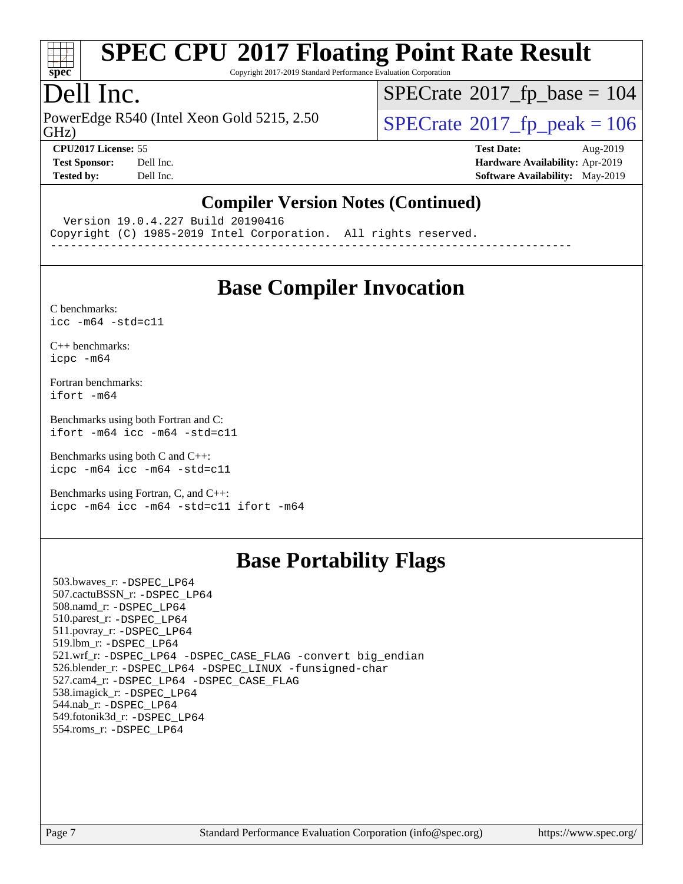

Copyright 2017-2019 Standard Performance Evaluation Corporation

## Dell Inc.

PowerEdge R540 (Intel Xeon Gold 5215, 2.50)<br>GHz)

 $SPECrate$ <sup>®</sup>[2017\\_fp\\_base =](http://www.spec.org/auto/cpu2017/Docs/result-fields.html#SPECrate2017fpbase) 104

 $SPECTate$ <sup>®</sup>[2017\\_fp\\_peak = 1](http://www.spec.org/auto/cpu2017/Docs/result-fields.html#SPECrate2017fppeak)06 **[CPU2017 License:](http://www.spec.org/auto/cpu2017/Docs/result-fields.html#CPU2017License)** 55 **[Test Date:](http://www.spec.org/auto/cpu2017/Docs/result-fields.html#TestDate)** Aug-2019

**[Test Sponsor:](http://www.spec.org/auto/cpu2017/Docs/result-fields.html#TestSponsor)** Dell Inc. **[Hardware Availability:](http://www.spec.org/auto/cpu2017/Docs/result-fields.html#HardwareAvailability)** Apr-2019 **[Tested by:](http://www.spec.org/auto/cpu2017/Docs/result-fields.html#Testedby)** Dell Inc. **[Software Availability:](http://www.spec.org/auto/cpu2017/Docs/result-fields.html#SoftwareAvailability)** May-2019

#### **[Compiler Version Notes \(Continued\)](http://www.spec.org/auto/cpu2017/Docs/result-fields.html#CompilerVersionNotes)**

Version 19.0.4.227 Build 20190416

Copyright (C) 1985-2019 Intel Corporation. All rights reserved.

------------------------------------------------------------------------------

# **[Base Compiler Invocation](http://www.spec.org/auto/cpu2017/Docs/result-fields.html#BaseCompilerInvocation)**

[C benchmarks](http://www.spec.org/auto/cpu2017/Docs/result-fields.html#Cbenchmarks):  $icc - m64 - std = c11$ 

[C++ benchmarks:](http://www.spec.org/auto/cpu2017/Docs/result-fields.html#CXXbenchmarks) [icpc -m64](http://www.spec.org/cpu2017/results/res2019q3/cpu2017-20190831-17319.flags.html#user_CXXbase_intel_icpc_64bit_4ecb2543ae3f1412ef961e0650ca070fec7b7afdcd6ed48761b84423119d1bf6bdf5cad15b44d48e7256388bc77273b966e5eb805aefd121eb22e9299b2ec9d9)

[Fortran benchmarks](http://www.spec.org/auto/cpu2017/Docs/result-fields.html#Fortranbenchmarks): [ifort -m64](http://www.spec.org/cpu2017/results/res2019q3/cpu2017-20190831-17319.flags.html#user_FCbase_intel_ifort_64bit_24f2bb282fbaeffd6157abe4f878425411749daecae9a33200eee2bee2fe76f3b89351d69a8130dd5949958ce389cf37ff59a95e7a40d588e8d3a57e0c3fd751)

[Benchmarks using both Fortran and C](http://www.spec.org/auto/cpu2017/Docs/result-fields.html#BenchmarksusingbothFortranandC): [ifort -m64](http://www.spec.org/cpu2017/results/res2019q3/cpu2017-20190831-17319.flags.html#user_CC_FCbase_intel_ifort_64bit_24f2bb282fbaeffd6157abe4f878425411749daecae9a33200eee2bee2fe76f3b89351d69a8130dd5949958ce389cf37ff59a95e7a40d588e8d3a57e0c3fd751) [icc -m64 -std=c11](http://www.spec.org/cpu2017/results/res2019q3/cpu2017-20190831-17319.flags.html#user_CC_FCbase_intel_icc_64bit_c11_33ee0cdaae7deeeab2a9725423ba97205ce30f63b9926c2519791662299b76a0318f32ddfffdc46587804de3178b4f9328c46fa7c2b0cd779d7a61945c91cd35)

[Benchmarks using both C and C++](http://www.spec.org/auto/cpu2017/Docs/result-fields.html#BenchmarksusingbothCandCXX): [icpc -m64](http://www.spec.org/cpu2017/results/res2019q3/cpu2017-20190831-17319.flags.html#user_CC_CXXbase_intel_icpc_64bit_4ecb2543ae3f1412ef961e0650ca070fec7b7afdcd6ed48761b84423119d1bf6bdf5cad15b44d48e7256388bc77273b966e5eb805aefd121eb22e9299b2ec9d9) [icc -m64 -std=c11](http://www.spec.org/cpu2017/results/res2019q3/cpu2017-20190831-17319.flags.html#user_CC_CXXbase_intel_icc_64bit_c11_33ee0cdaae7deeeab2a9725423ba97205ce30f63b9926c2519791662299b76a0318f32ddfffdc46587804de3178b4f9328c46fa7c2b0cd779d7a61945c91cd35)

[Benchmarks using Fortran, C, and C++:](http://www.spec.org/auto/cpu2017/Docs/result-fields.html#BenchmarksusingFortranCandCXX) [icpc -m64](http://www.spec.org/cpu2017/results/res2019q3/cpu2017-20190831-17319.flags.html#user_CC_CXX_FCbase_intel_icpc_64bit_4ecb2543ae3f1412ef961e0650ca070fec7b7afdcd6ed48761b84423119d1bf6bdf5cad15b44d48e7256388bc77273b966e5eb805aefd121eb22e9299b2ec9d9) [icc -m64 -std=c11](http://www.spec.org/cpu2017/results/res2019q3/cpu2017-20190831-17319.flags.html#user_CC_CXX_FCbase_intel_icc_64bit_c11_33ee0cdaae7deeeab2a9725423ba97205ce30f63b9926c2519791662299b76a0318f32ddfffdc46587804de3178b4f9328c46fa7c2b0cd779d7a61945c91cd35) [ifort -m64](http://www.spec.org/cpu2017/results/res2019q3/cpu2017-20190831-17319.flags.html#user_CC_CXX_FCbase_intel_ifort_64bit_24f2bb282fbaeffd6157abe4f878425411749daecae9a33200eee2bee2fe76f3b89351d69a8130dd5949958ce389cf37ff59a95e7a40d588e8d3a57e0c3fd751)

# **[Base Portability Flags](http://www.spec.org/auto/cpu2017/Docs/result-fields.html#BasePortabilityFlags)**

 503.bwaves\_r: [-DSPEC\\_LP64](http://www.spec.org/cpu2017/results/res2019q3/cpu2017-20190831-17319.flags.html#suite_basePORTABILITY503_bwaves_r_DSPEC_LP64) 507.cactuBSSN\_r: [-DSPEC\\_LP64](http://www.spec.org/cpu2017/results/res2019q3/cpu2017-20190831-17319.flags.html#suite_basePORTABILITY507_cactuBSSN_r_DSPEC_LP64) 508.namd\_r: [-DSPEC\\_LP64](http://www.spec.org/cpu2017/results/res2019q3/cpu2017-20190831-17319.flags.html#suite_basePORTABILITY508_namd_r_DSPEC_LP64) 510.parest\_r: [-DSPEC\\_LP64](http://www.spec.org/cpu2017/results/res2019q3/cpu2017-20190831-17319.flags.html#suite_basePORTABILITY510_parest_r_DSPEC_LP64) 511.povray\_r: [-DSPEC\\_LP64](http://www.spec.org/cpu2017/results/res2019q3/cpu2017-20190831-17319.flags.html#suite_basePORTABILITY511_povray_r_DSPEC_LP64) 519.lbm\_r: [-DSPEC\\_LP64](http://www.spec.org/cpu2017/results/res2019q3/cpu2017-20190831-17319.flags.html#suite_basePORTABILITY519_lbm_r_DSPEC_LP64) 521.wrf\_r: [-DSPEC\\_LP64](http://www.spec.org/cpu2017/results/res2019q3/cpu2017-20190831-17319.flags.html#suite_basePORTABILITY521_wrf_r_DSPEC_LP64) [-DSPEC\\_CASE\\_FLAG](http://www.spec.org/cpu2017/results/res2019q3/cpu2017-20190831-17319.flags.html#b521.wrf_r_baseCPORTABILITY_DSPEC_CASE_FLAG) [-convert big\\_endian](http://www.spec.org/cpu2017/results/res2019q3/cpu2017-20190831-17319.flags.html#user_baseFPORTABILITY521_wrf_r_convert_big_endian_c3194028bc08c63ac5d04de18c48ce6d347e4e562e8892b8bdbdc0214820426deb8554edfa529a3fb25a586e65a3d812c835984020483e7e73212c4d31a38223) 526.blender\_r: [-DSPEC\\_LP64](http://www.spec.org/cpu2017/results/res2019q3/cpu2017-20190831-17319.flags.html#suite_basePORTABILITY526_blender_r_DSPEC_LP64) [-DSPEC\\_LINUX](http://www.spec.org/cpu2017/results/res2019q3/cpu2017-20190831-17319.flags.html#b526.blender_r_baseCPORTABILITY_DSPEC_LINUX) [-funsigned-char](http://www.spec.org/cpu2017/results/res2019q3/cpu2017-20190831-17319.flags.html#user_baseCPORTABILITY526_blender_r_force_uchar_40c60f00ab013830e2dd6774aeded3ff59883ba5a1fc5fc14077f794d777847726e2a5858cbc7672e36e1b067e7e5c1d9a74f7176df07886a243d7cc18edfe67) 527.cam4\_r: [-DSPEC\\_LP64](http://www.spec.org/cpu2017/results/res2019q3/cpu2017-20190831-17319.flags.html#suite_basePORTABILITY527_cam4_r_DSPEC_LP64) [-DSPEC\\_CASE\\_FLAG](http://www.spec.org/cpu2017/results/res2019q3/cpu2017-20190831-17319.flags.html#b527.cam4_r_baseCPORTABILITY_DSPEC_CASE_FLAG) 538.imagick\_r: [-DSPEC\\_LP64](http://www.spec.org/cpu2017/results/res2019q3/cpu2017-20190831-17319.flags.html#suite_basePORTABILITY538_imagick_r_DSPEC_LP64) 544.nab\_r: [-DSPEC\\_LP64](http://www.spec.org/cpu2017/results/res2019q3/cpu2017-20190831-17319.flags.html#suite_basePORTABILITY544_nab_r_DSPEC_LP64) 549.fotonik3d\_r: [-DSPEC\\_LP64](http://www.spec.org/cpu2017/results/res2019q3/cpu2017-20190831-17319.flags.html#suite_basePORTABILITY549_fotonik3d_r_DSPEC_LP64) 554.roms\_r: [-DSPEC\\_LP64](http://www.spec.org/cpu2017/results/res2019q3/cpu2017-20190831-17319.flags.html#suite_basePORTABILITY554_roms_r_DSPEC_LP64)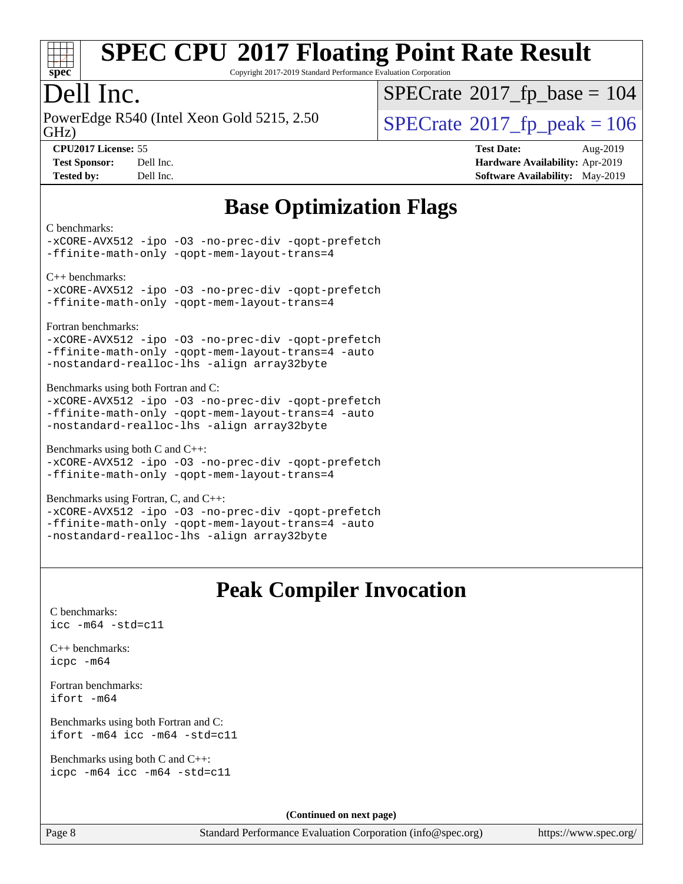

Copyright 2017-2019 Standard Performance Evaluation Corporation

## Dell Inc.

PowerEdge R540 (Intel Xeon Gold 5215, 2.50)<br>GHz)

 $SPECTate$ <sup>®</sup>[2017\\_fp\\_base =](http://www.spec.org/auto/cpu2017/Docs/result-fields.html#SPECrate2017fpbase) 104

**[Tested by:](http://www.spec.org/auto/cpu2017/Docs/result-fields.html#Testedby)** Dell Inc. **[Software Availability:](http://www.spec.org/auto/cpu2017/Docs/result-fields.html#SoftwareAvailability)** May-2019

 $SPECTate$ <sup>®</sup>[2017\\_fp\\_peak = 1](http://www.spec.org/auto/cpu2017/Docs/result-fields.html#SPECrate2017fppeak)06 **[CPU2017 License:](http://www.spec.org/auto/cpu2017/Docs/result-fields.html#CPU2017License)** 55 **[Test Date:](http://www.spec.org/auto/cpu2017/Docs/result-fields.html#TestDate)** Aug-2019 **[Test Sponsor:](http://www.spec.org/auto/cpu2017/Docs/result-fields.html#TestSponsor)** Dell Inc. **[Hardware Availability:](http://www.spec.org/auto/cpu2017/Docs/result-fields.html#HardwareAvailability)** Apr-2019

# **[Base Optimization Flags](http://www.spec.org/auto/cpu2017/Docs/result-fields.html#BaseOptimizationFlags)**

[C benchmarks](http://www.spec.org/auto/cpu2017/Docs/result-fields.html#Cbenchmarks):

[-xCORE-AVX512](http://www.spec.org/cpu2017/results/res2019q3/cpu2017-20190831-17319.flags.html#user_CCbase_f-xCORE-AVX512) [-ipo](http://www.spec.org/cpu2017/results/res2019q3/cpu2017-20190831-17319.flags.html#user_CCbase_f-ipo) [-O3](http://www.spec.org/cpu2017/results/res2019q3/cpu2017-20190831-17319.flags.html#user_CCbase_f-O3) [-no-prec-div](http://www.spec.org/cpu2017/results/res2019q3/cpu2017-20190831-17319.flags.html#user_CCbase_f-no-prec-div) [-qopt-prefetch](http://www.spec.org/cpu2017/results/res2019q3/cpu2017-20190831-17319.flags.html#user_CCbase_f-qopt-prefetch) [-ffinite-math-only](http://www.spec.org/cpu2017/results/res2019q3/cpu2017-20190831-17319.flags.html#user_CCbase_f_finite_math_only_cb91587bd2077682c4b38af759c288ed7c732db004271a9512da14a4f8007909a5f1427ecbf1a0fb78ff2a814402c6114ac565ca162485bbcae155b5e4258871) [-qopt-mem-layout-trans=4](http://www.spec.org/cpu2017/results/res2019q3/cpu2017-20190831-17319.flags.html#user_CCbase_f-qopt-mem-layout-trans_fa39e755916c150a61361b7846f310bcdf6f04e385ef281cadf3647acec3f0ae266d1a1d22d972a7087a248fd4e6ca390a3634700869573d231a252c784941a8)

[C++ benchmarks](http://www.spec.org/auto/cpu2017/Docs/result-fields.html#CXXbenchmarks):

[-xCORE-AVX512](http://www.spec.org/cpu2017/results/res2019q3/cpu2017-20190831-17319.flags.html#user_CXXbase_f-xCORE-AVX512) [-ipo](http://www.spec.org/cpu2017/results/res2019q3/cpu2017-20190831-17319.flags.html#user_CXXbase_f-ipo) [-O3](http://www.spec.org/cpu2017/results/res2019q3/cpu2017-20190831-17319.flags.html#user_CXXbase_f-O3) [-no-prec-div](http://www.spec.org/cpu2017/results/res2019q3/cpu2017-20190831-17319.flags.html#user_CXXbase_f-no-prec-div) [-qopt-prefetch](http://www.spec.org/cpu2017/results/res2019q3/cpu2017-20190831-17319.flags.html#user_CXXbase_f-qopt-prefetch) [-ffinite-math-only](http://www.spec.org/cpu2017/results/res2019q3/cpu2017-20190831-17319.flags.html#user_CXXbase_f_finite_math_only_cb91587bd2077682c4b38af759c288ed7c732db004271a9512da14a4f8007909a5f1427ecbf1a0fb78ff2a814402c6114ac565ca162485bbcae155b5e4258871) [-qopt-mem-layout-trans=4](http://www.spec.org/cpu2017/results/res2019q3/cpu2017-20190831-17319.flags.html#user_CXXbase_f-qopt-mem-layout-trans_fa39e755916c150a61361b7846f310bcdf6f04e385ef281cadf3647acec3f0ae266d1a1d22d972a7087a248fd4e6ca390a3634700869573d231a252c784941a8)

[Fortran benchmarks:](http://www.spec.org/auto/cpu2017/Docs/result-fields.html#Fortranbenchmarks)

[-xCORE-AVX512](http://www.spec.org/cpu2017/results/res2019q3/cpu2017-20190831-17319.flags.html#user_FCbase_f-xCORE-AVX512) [-ipo](http://www.spec.org/cpu2017/results/res2019q3/cpu2017-20190831-17319.flags.html#user_FCbase_f-ipo) [-O3](http://www.spec.org/cpu2017/results/res2019q3/cpu2017-20190831-17319.flags.html#user_FCbase_f-O3) [-no-prec-div](http://www.spec.org/cpu2017/results/res2019q3/cpu2017-20190831-17319.flags.html#user_FCbase_f-no-prec-div) [-qopt-prefetch](http://www.spec.org/cpu2017/results/res2019q3/cpu2017-20190831-17319.flags.html#user_FCbase_f-qopt-prefetch) [-ffinite-math-only](http://www.spec.org/cpu2017/results/res2019q3/cpu2017-20190831-17319.flags.html#user_FCbase_f_finite_math_only_cb91587bd2077682c4b38af759c288ed7c732db004271a9512da14a4f8007909a5f1427ecbf1a0fb78ff2a814402c6114ac565ca162485bbcae155b5e4258871) [-qopt-mem-layout-trans=4](http://www.spec.org/cpu2017/results/res2019q3/cpu2017-20190831-17319.flags.html#user_FCbase_f-qopt-mem-layout-trans_fa39e755916c150a61361b7846f310bcdf6f04e385ef281cadf3647acec3f0ae266d1a1d22d972a7087a248fd4e6ca390a3634700869573d231a252c784941a8) [-auto](http://www.spec.org/cpu2017/results/res2019q3/cpu2017-20190831-17319.flags.html#user_FCbase_f-auto) [-nostandard-realloc-lhs](http://www.spec.org/cpu2017/results/res2019q3/cpu2017-20190831-17319.flags.html#user_FCbase_f_2003_std_realloc_82b4557e90729c0f113870c07e44d33d6f5a304b4f63d4c15d2d0f1fab99f5daaed73bdb9275d9ae411527f28b936061aa8b9c8f2d63842963b95c9dd6426b8a) [-align array32byte](http://www.spec.org/cpu2017/results/res2019q3/cpu2017-20190831-17319.flags.html#user_FCbase_align_array32byte_b982fe038af199962ba9a80c053b8342c548c85b40b8e86eb3cc33dee0d7986a4af373ac2d51c3f7cf710a18d62fdce2948f201cd044323541f22fc0fffc51b6)

[Benchmarks using both Fortran and C](http://www.spec.org/auto/cpu2017/Docs/result-fields.html#BenchmarksusingbothFortranandC):

[-xCORE-AVX512](http://www.spec.org/cpu2017/results/res2019q3/cpu2017-20190831-17319.flags.html#user_CC_FCbase_f-xCORE-AVX512) [-ipo](http://www.spec.org/cpu2017/results/res2019q3/cpu2017-20190831-17319.flags.html#user_CC_FCbase_f-ipo) [-O3](http://www.spec.org/cpu2017/results/res2019q3/cpu2017-20190831-17319.flags.html#user_CC_FCbase_f-O3) [-no-prec-div](http://www.spec.org/cpu2017/results/res2019q3/cpu2017-20190831-17319.flags.html#user_CC_FCbase_f-no-prec-div) [-qopt-prefetch](http://www.spec.org/cpu2017/results/res2019q3/cpu2017-20190831-17319.flags.html#user_CC_FCbase_f-qopt-prefetch) [-ffinite-math-only](http://www.spec.org/cpu2017/results/res2019q3/cpu2017-20190831-17319.flags.html#user_CC_FCbase_f_finite_math_only_cb91587bd2077682c4b38af759c288ed7c732db004271a9512da14a4f8007909a5f1427ecbf1a0fb78ff2a814402c6114ac565ca162485bbcae155b5e4258871) [-qopt-mem-layout-trans=4](http://www.spec.org/cpu2017/results/res2019q3/cpu2017-20190831-17319.flags.html#user_CC_FCbase_f-qopt-mem-layout-trans_fa39e755916c150a61361b7846f310bcdf6f04e385ef281cadf3647acec3f0ae266d1a1d22d972a7087a248fd4e6ca390a3634700869573d231a252c784941a8) [-auto](http://www.spec.org/cpu2017/results/res2019q3/cpu2017-20190831-17319.flags.html#user_CC_FCbase_f-auto) [-nostandard-realloc-lhs](http://www.spec.org/cpu2017/results/res2019q3/cpu2017-20190831-17319.flags.html#user_CC_FCbase_f_2003_std_realloc_82b4557e90729c0f113870c07e44d33d6f5a304b4f63d4c15d2d0f1fab99f5daaed73bdb9275d9ae411527f28b936061aa8b9c8f2d63842963b95c9dd6426b8a) [-align array32byte](http://www.spec.org/cpu2017/results/res2019q3/cpu2017-20190831-17319.flags.html#user_CC_FCbase_align_array32byte_b982fe038af199962ba9a80c053b8342c548c85b40b8e86eb3cc33dee0d7986a4af373ac2d51c3f7cf710a18d62fdce2948f201cd044323541f22fc0fffc51b6)

[Benchmarks using both C and C++:](http://www.spec.org/auto/cpu2017/Docs/result-fields.html#BenchmarksusingbothCandCXX)

[-xCORE-AVX512](http://www.spec.org/cpu2017/results/res2019q3/cpu2017-20190831-17319.flags.html#user_CC_CXXbase_f-xCORE-AVX512) [-ipo](http://www.spec.org/cpu2017/results/res2019q3/cpu2017-20190831-17319.flags.html#user_CC_CXXbase_f-ipo) [-O3](http://www.spec.org/cpu2017/results/res2019q3/cpu2017-20190831-17319.flags.html#user_CC_CXXbase_f-O3) [-no-prec-div](http://www.spec.org/cpu2017/results/res2019q3/cpu2017-20190831-17319.flags.html#user_CC_CXXbase_f-no-prec-div) [-qopt-prefetch](http://www.spec.org/cpu2017/results/res2019q3/cpu2017-20190831-17319.flags.html#user_CC_CXXbase_f-qopt-prefetch) [-ffinite-math-only](http://www.spec.org/cpu2017/results/res2019q3/cpu2017-20190831-17319.flags.html#user_CC_CXXbase_f_finite_math_only_cb91587bd2077682c4b38af759c288ed7c732db004271a9512da14a4f8007909a5f1427ecbf1a0fb78ff2a814402c6114ac565ca162485bbcae155b5e4258871) [-qopt-mem-layout-trans=4](http://www.spec.org/cpu2017/results/res2019q3/cpu2017-20190831-17319.flags.html#user_CC_CXXbase_f-qopt-mem-layout-trans_fa39e755916c150a61361b7846f310bcdf6f04e385ef281cadf3647acec3f0ae266d1a1d22d972a7087a248fd4e6ca390a3634700869573d231a252c784941a8)

[Benchmarks using Fortran, C, and C++](http://www.spec.org/auto/cpu2017/Docs/result-fields.html#BenchmarksusingFortranCandCXX): [-xCORE-AVX512](http://www.spec.org/cpu2017/results/res2019q3/cpu2017-20190831-17319.flags.html#user_CC_CXX_FCbase_f-xCORE-AVX512) [-ipo](http://www.spec.org/cpu2017/results/res2019q3/cpu2017-20190831-17319.flags.html#user_CC_CXX_FCbase_f-ipo) [-O3](http://www.spec.org/cpu2017/results/res2019q3/cpu2017-20190831-17319.flags.html#user_CC_CXX_FCbase_f-O3) [-no-prec-div](http://www.spec.org/cpu2017/results/res2019q3/cpu2017-20190831-17319.flags.html#user_CC_CXX_FCbase_f-no-prec-div) [-qopt-prefetch](http://www.spec.org/cpu2017/results/res2019q3/cpu2017-20190831-17319.flags.html#user_CC_CXX_FCbase_f-qopt-prefetch) [-ffinite-math-only](http://www.spec.org/cpu2017/results/res2019q3/cpu2017-20190831-17319.flags.html#user_CC_CXX_FCbase_f_finite_math_only_cb91587bd2077682c4b38af759c288ed7c732db004271a9512da14a4f8007909a5f1427ecbf1a0fb78ff2a814402c6114ac565ca162485bbcae155b5e4258871) [-qopt-mem-layout-trans=4](http://www.spec.org/cpu2017/results/res2019q3/cpu2017-20190831-17319.flags.html#user_CC_CXX_FCbase_f-qopt-mem-layout-trans_fa39e755916c150a61361b7846f310bcdf6f04e385ef281cadf3647acec3f0ae266d1a1d22d972a7087a248fd4e6ca390a3634700869573d231a252c784941a8) [-auto](http://www.spec.org/cpu2017/results/res2019q3/cpu2017-20190831-17319.flags.html#user_CC_CXX_FCbase_f-auto) [-nostandard-realloc-lhs](http://www.spec.org/cpu2017/results/res2019q3/cpu2017-20190831-17319.flags.html#user_CC_CXX_FCbase_f_2003_std_realloc_82b4557e90729c0f113870c07e44d33d6f5a304b4f63d4c15d2d0f1fab99f5daaed73bdb9275d9ae411527f28b936061aa8b9c8f2d63842963b95c9dd6426b8a) [-align array32byte](http://www.spec.org/cpu2017/results/res2019q3/cpu2017-20190831-17319.flags.html#user_CC_CXX_FCbase_align_array32byte_b982fe038af199962ba9a80c053b8342c548c85b40b8e86eb3cc33dee0d7986a4af373ac2d51c3f7cf710a18d62fdce2948f201cd044323541f22fc0fffc51b6)

## **[Peak Compiler Invocation](http://www.spec.org/auto/cpu2017/Docs/result-fields.html#PeakCompilerInvocation)**

[C benchmarks](http://www.spec.org/auto/cpu2017/Docs/result-fields.html#Cbenchmarks): [icc -m64 -std=c11](http://www.spec.org/cpu2017/results/res2019q3/cpu2017-20190831-17319.flags.html#user_CCpeak_intel_icc_64bit_c11_33ee0cdaae7deeeab2a9725423ba97205ce30f63b9926c2519791662299b76a0318f32ddfffdc46587804de3178b4f9328c46fa7c2b0cd779d7a61945c91cd35)

[C++ benchmarks:](http://www.spec.org/auto/cpu2017/Docs/result-fields.html#CXXbenchmarks) [icpc -m64](http://www.spec.org/cpu2017/results/res2019q3/cpu2017-20190831-17319.flags.html#user_CXXpeak_intel_icpc_64bit_4ecb2543ae3f1412ef961e0650ca070fec7b7afdcd6ed48761b84423119d1bf6bdf5cad15b44d48e7256388bc77273b966e5eb805aefd121eb22e9299b2ec9d9)

[Fortran benchmarks](http://www.spec.org/auto/cpu2017/Docs/result-fields.html#Fortranbenchmarks): [ifort -m64](http://www.spec.org/cpu2017/results/res2019q3/cpu2017-20190831-17319.flags.html#user_FCpeak_intel_ifort_64bit_24f2bb282fbaeffd6157abe4f878425411749daecae9a33200eee2bee2fe76f3b89351d69a8130dd5949958ce389cf37ff59a95e7a40d588e8d3a57e0c3fd751)

[Benchmarks using both Fortran and C](http://www.spec.org/auto/cpu2017/Docs/result-fields.html#BenchmarksusingbothFortranandC): [ifort -m64](http://www.spec.org/cpu2017/results/res2019q3/cpu2017-20190831-17319.flags.html#user_CC_FCpeak_intel_ifort_64bit_24f2bb282fbaeffd6157abe4f878425411749daecae9a33200eee2bee2fe76f3b89351d69a8130dd5949958ce389cf37ff59a95e7a40d588e8d3a57e0c3fd751) [icc -m64 -std=c11](http://www.spec.org/cpu2017/results/res2019q3/cpu2017-20190831-17319.flags.html#user_CC_FCpeak_intel_icc_64bit_c11_33ee0cdaae7deeeab2a9725423ba97205ce30f63b9926c2519791662299b76a0318f32ddfffdc46587804de3178b4f9328c46fa7c2b0cd779d7a61945c91cd35)

[Benchmarks using both C and C++](http://www.spec.org/auto/cpu2017/Docs/result-fields.html#BenchmarksusingbothCandCXX): [icpc -m64](http://www.spec.org/cpu2017/results/res2019q3/cpu2017-20190831-17319.flags.html#user_CC_CXXpeak_intel_icpc_64bit_4ecb2543ae3f1412ef961e0650ca070fec7b7afdcd6ed48761b84423119d1bf6bdf5cad15b44d48e7256388bc77273b966e5eb805aefd121eb22e9299b2ec9d9) [icc -m64 -std=c11](http://www.spec.org/cpu2017/results/res2019q3/cpu2017-20190831-17319.flags.html#user_CC_CXXpeak_intel_icc_64bit_c11_33ee0cdaae7deeeab2a9725423ba97205ce30f63b9926c2519791662299b76a0318f32ddfffdc46587804de3178b4f9328c46fa7c2b0cd779d7a61945c91cd35)

**(Continued on next page)**

Page 8 Standard Performance Evaluation Corporation [\(info@spec.org\)](mailto:info@spec.org) <https://www.spec.org/>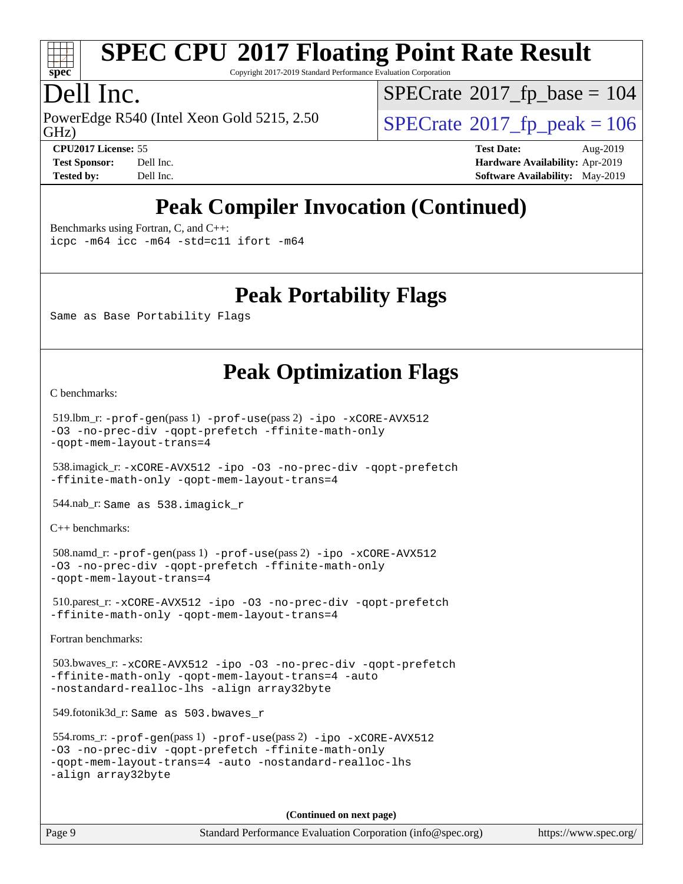

Copyright 2017-2019 Standard Performance Evaluation Corporation

# Dell Inc.

PowerEdge R540 (Intel Xeon Gold 5215, 2.50)<br>GHz)

 $SPECTate$ <sup>®</sup>[2017\\_fp\\_base =](http://www.spec.org/auto/cpu2017/Docs/result-fields.html#SPECrate2017fpbase) 104

 $SPECTate$ <sup>®</sup>[2017\\_fp\\_peak = 1](http://www.spec.org/auto/cpu2017/Docs/result-fields.html#SPECrate2017fppeak)06 **[CPU2017 License:](http://www.spec.org/auto/cpu2017/Docs/result-fields.html#CPU2017License)** 55 **[Test Date:](http://www.spec.org/auto/cpu2017/Docs/result-fields.html#TestDate)** Aug-2019

**[Test Sponsor:](http://www.spec.org/auto/cpu2017/Docs/result-fields.html#TestSponsor)** Dell Inc. **[Hardware Availability:](http://www.spec.org/auto/cpu2017/Docs/result-fields.html#HardwareAvailability)** Apr-2019 **[Tested by:](http://www.spec.org/auto/cpu2017/Docs/result-fields.html#Testedby)** Dell Inc. **[Software Availability:](http://www.spec.org/auto/cpu2017/Docs/result-fields.html#SoftwareAvailability)** May-2019

# **[Peak Compiler Invocation \(Continued\)](http://www.spec.org/auto/cpu2017/Docs/result-fields.html#PeakCompilerInvocation)**

[Benchmarks using Fortran, C, and C++:](http://www.spec.org/auto/cpu2017/Docs/result-fields.html#BenchmarksusingFortranCandCXX)

[icpc -m64](http://www.spec.org/cpu2017/results/res2019q3/cpu2017-20190831-17319.flags.html#user_CC_CXX_FCpeak_intel_icpc_64bit_4ecb2543ae3f1412ef961e0650ca070fec7b7afdcd6ed48761b84423119d1bf6bdf5cad15b44d48e7256388bc77273b966e5eb805aefd121eb22e9299b2ec9d9) [icc -m64 -std=c11](http://www.spec.org/cpu2017/results/res2019q3/cpu2017-20190831-17319.flags.html#user_CC_CXX_FCpeak_intel_icc_64bit_c11_33ee0cdaae7deeeab2a9725423ba97205ce30f63b9926c2519791662299b76a0318f32ddfffdc46587804de3178b4f9328c46fa7c2b0cd779d7a61945c91cd35) [ifort -m64](http://www.spec.org/cpu2017/results/res2019q3/cpu2017-20190831-17319.flags.html#user_CC_CXX_FCpeak_intel_ifort_64bit_24f2bb282fbaeffd6157abe4f878425411749daecae9a33200eee2bee2fe76f3b89351d69a8130dd5949958ce389cf37ff59a95e7a40d588e8d3a57e0c3fd751)

## **[Peak Portability Flags](http://www.spec.org/auto/cpu2017/Docs/result-fields.html#PeakPortabilityFlags)**

Same as Base Portability Flags

## **[Peak Optimization Flags](http://www.spec.org/auto/cpu2017/Docs/result-fields.html#PeakOptimizationFlags)**

[C benchmarks](http://www.spec.org/auto/cpu2017/Docs/result-fields.html#Cbenchmarks):

```
 519.lbm_r: -prof-gen(pass 1) -prof-use(pass 2) -ipo -xCORE-AVX512
-O3 -no-prec-div -qopt-prefetch -ffinite-math-only
-qopt-mem-layout-trans=4
```
 538.imagick\_r: [-xCORE-AVX512](http://www.spec.org/cpu2017/results/res2019q3/cpu2017-20190831-17319.flags.html#user_peakCOPTIMIZE538_imagick_r_f-xCORE-AVX512) [-ipo](http://www.spec.org/cpu2017/results/res2019q3/cpu2017-20190831-17319.flags.html#user_peakCOPTIMIZE538_imagick_r_f-ipo) [-O3](http://www.spec.org/cpu2017/results/res2019q3/cpu2017-20190831-17319.flags.html#user_peakCOPTIMIZE538_imagick_r_f-O3) [-no-prec-div](http://www.spec.org/cpu2017/results/res2019q3/cpu2017-20190831-17319.flags.html#user_peakCOPTIMIZE538_imagick_r_f-no-prec-div) [-qopt-prefetch](http://www.spec.org/cpu2017/results/res2019q3/cpu2017-20190831-17319.flags.html#user_peakCOPTIMIZE538_imagick_r_f-qopt-prefetch) [-ffinite-math-only](http://www.spec.org/cpu2017/results/res2019q3/cpu2017-20190831-17319.flags.html#user_peakCOPTIMIZE538_imagick_r_f_finite_math_only_cb91587bd2077682c4b38af759c288ed7c732db004271a9512da14a4f8007909a5f1427ecbf1a0fb78ff2a814402c6114ac565ca162485bbcae155b5e4258871) [-qopt-mem-layout-trans=4](http://www.spec.org/cpu2017/results/res2019q3/cpu2017-20190831-17319.flags.html#user_peakCOPTIMIZE538_imagick_r_f-qopt-mem-layout-trans_fa39e755916c150a61361b7846f310bcdf6f04e385ef281cadf3647acec3f0ae266d1a1d22d972a7087a248fd4e6ca390a3634700869573d231a252c784941a8)

544.nab\_r: Same as 538.imagick\_r

[C++ benchmarks:](http://www.spec.org/auto/cpu2017/Docs/result-fields.html#CXXbenchmarks)

```
 508.namd_r: -prof-gen(pass 1) -prof-use(pass 2) -ipo -xCORE-AVX512
-O3 -no-prec-div -qopt-prefetch -ffinite-math-only
-qopt-mem-layout-trans=4
```
 510.parest\_r: [-xCORE-AVX512](http://www.spec.org/cpu2017/results/res2019q3/cpu2017-20190831-17319.flags.html#user_peakCXXOPTIMIZE510_parest_r_f-xCORE-AVX512) [-ipo](http://www.spec.org/cpu2017/results/res2019q3/cpu2017-20190831-17319.flags.html#user_peakCXXOPTIMIZE510_parest_r_f-ipo) [-O3](http://www.spec.org/cpu2017/results/res2019q3/cpu2017-20190831-17319.flags.html#user_peakCXXOPTIMIZE510_parest_r_f-O3) [-no-prec-div](http://www.spec.org/cpu2017/results/res2019q3/cpu2017-20190831-17319.flags.html#user_peakCXXOPTIMIZE510_parest_r_f-no-prec-div) [-qopt-prefetch](http://www.spec.org/cpu2017/results/res2019q3/cpu2017-20190831-17319.flags.html#user_peakCXXOPTIMIZE510_parest_r_f-qopt-prefetch) [-ffinite-math-only](http://www.spec.org/cpu2017/results/res2019q3/cpu2017-20190831-17319.flags.html#user_peakCXXOPTIMIZE510_parest_r_f_finite_math_only_cb91587bd2077682c4b38af759c288ed7c732db004271a9512da14a4f8007909a5f1427ecbf1a0fb78ff2a814402c6114ac565ca162485bbcae155b5e4258871) [-qopt-mem-layout-trans=4](http://www.spec.org/cpu2017/results/res2019q3/cpu2017-20190831-17319.flags.html#user_peakCXXOPTIMIZE510_parest_r_f-qopt-mem-layout-trans_fa39e755916c150a61361b7846f310bcdf6f04e385ef281cadf3647acec3f0ae266d1a1d22d972a7087a248fd4e6ca390a3634700869573d231a252c784941a8)

[Fortran benchmarks](http://www.spec.org/auto/cpu2017/Docs/result-fields.html#Fortranbenchmarks):

```
 503.bwaves_r: -xCORE-AVX512 -ipo -O3 -no-prec-div -qopt-prefetch
-ffinite-math-only -qopt-mem-layout-trans=4 -auto
-nostandard-realloc-lhs -align array32byte
```
549.fotonik3d\_r: Same as 503.bwaves\_r

```
 554.roms_r: -prof-gen(pass 1) -prof-use(pass 2) -ipo -xCORE-AVX512
-O3 -no-prec-div -qopt-prefetch -ffinite-math-only
-qopt-mem-layout-trans=4 -auto -nostandard-realloc-lhs
-align array32byte
```
**(Continued on next page)**